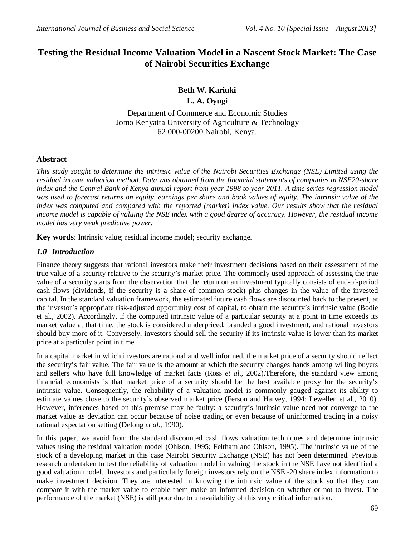## **Testing the Residual Income Valuation Model in a Nascent Stock Market: The Case of Nairobi Securities Exchange**

# **Beth W. Kariuki**

**L. A. Oyugi**

Department of Commerce and Economic Studies Jomo Kenyatta University of Agriculture & Technology 62 000-00200 Nairobi, Kenya.

## **Abstract**

*This study sought to determine the intrinsic value of the Nairobi Securities Exchange (NSE) Limited using the residual income valuation method. Data was obtained from the financial statements of companies in NSE20-share index and the Central Bank of Kenya annual report from year 1998 to year 2011. A time series regression model was used to forecast returns on equity, earnings per share and book values of equity. The intrinsic value of the index was computed and compared with the reported (market) index value. Our results show that the residual income model is capable of valuing the NSE index with a good degree of accuracy. However, the residual income model has very weak predictive power.*

**Key words**: Intrinsic value; residual income model; security exchange.

## *1.0 Introduction*

Finance theory suggests that rational investors make their investment decisions based on their assessment of the true value of a security relative to the security's market price. The commonly used approach of assessing the true value of a security starts from the observation that the return on an investment typically consists of end-of-period cash flows (dividends, if the security is a share of common stock) plus changes in the value of the invested capital. In the standard valuation framework, the estimated future cash flows are discounted back to the present, at the investor's appropriate risk-adjusted opportunity cost of capital, to obtain the security's intrinsic value (Bodie et al., 2002). Accordingly, if the computed intrinsic value of a particular security at a point in time exceeds its market value at that time, the stock is considered underpriced, branded a good investment, and rational investors should buy more of it. Conversely, investors should sell the security if its intrinsic value is lower than its market price at a particular point in time.

In a capital market in which investors are rational and well informed, the market price of a security should reflect the security's fair value. The fair value is the amount at which the security changes hands among willing buyers and sellers who have full knowledge of market facts (Ross *et al*., 2002).Therefore, the standard view among financial economists is that market price of a security should be the best available proxy for the security's intrinsic value. Consequently, the reliability of a valuation model is commonly gauged against its ability to estimate values close to the security's observed market price (Ferson and Harvey, 1994; Lewellen et al., 2010). However, inferences based on this premise may be faulty: a security's intrinsic value need not converge to the market value as deviation can occur because of noise trading or even because of uninformed trading in a noisy rational expectation setting (Delong *et al.,* 1990).

In this paper, we avoid from the standard discounted cash flows valuation techniques and determine intrinsic values using the residual valuation model (Ohlson, 1995; Feltham and Ohlson, 1995). The intrinsic value of the stock of a developing market in this case Nairobi Security Exchange (NSE) has not been determined. Previous research undertaken to test the reliability of valuation model in valuing the stock in the NSE have not identified a good valuation model. Investors and particularly foreign investors rely on the NSE -20 share index information to make investment decision. They are interested in knowing the intrinsic value of the stock so that they can compare it with the market value to enable them make an informed decision on whether or not to invest. The performance of the market (NSE) is still poor due to unavailability of this very critical information.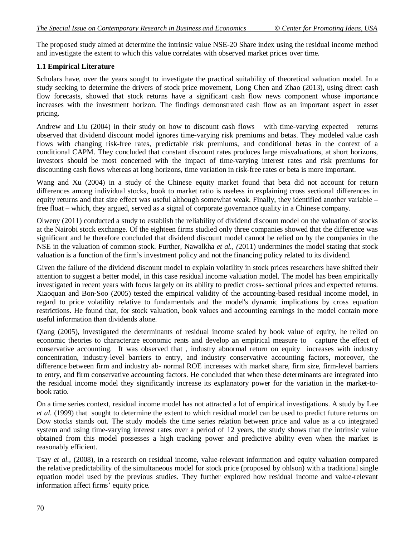The proposed study aimed at determine the intrinsic value NSE-20 Share index using the residual income method and investigate the extent to which this value correlates with observed market prices over time.

#### **1.1 Empirical Literature**

Scholars have, over the years sought to investigate the practical suitability of theoretical valuation model. In a study seeking to determine the drivers of stock price movement, Long Chen and Zhao (2013), using direct cash flow forecasts, showed that stock returns have a significant cash flow news component whose importance increases with the investment horizon. The findings demonstrated cash flow as an important aspect in asset pricing.

Andrew and Liu (2004) in their study on how to discount cash flows with time-varying expected returns observed that dividend discount model ignores time-varying risk premiums and betas. They modeled value cash flows with changing risk-free rates, predictable risk premiums, and conditional betas in the context of a conditional CAPM. They concluded that constant discount rates produces large misvaluations, at short horizons, investors should be most concerned with the impact of time-varying interest rates and risk premiums for discounting cash flows whereas at long horizons, time variation in risk-free rates or beta is more important.

Wang and Xu (2004) in a study of the Chinese equity market found that beta did not account for return differences among individual stocks, book to market ratio is useless in explaining cross sectional differences in equity returns and that size effect was useful although somewhat weak. Finally, they identified another variable – free float – which, they argued, served as a signal of corporate governance quality in a Chinese company.

Olweny (2011) conducted a study to establish the reliability of dividend discount model on the valuation of stocks at the Nairobi stock exchange. Of the eighteen firms studied only three companies showed that the difference was significant and he therefore concluded that dividend discount model cannot be relied on by the companies in the NSE in the valuation of common stock. Further, Nawalkha *et al., (*2011) undermines the model stating that stock valuation is a function of the firm's investment policy and not the financing policy related to its dividend.

Given the failure of the dividend discount model to explain volatility in stock prices researchers have shifted their attention to suggest a better model, in this case residual income valuation model. The model has been empirically investigated in recent years with focus largely on its ability to predict cross- sectional prices and expected returns. Xiaoquan and Bon‐Soo (2005) tested the empirical validity of the accounting-based residual income model, in regard to price volatility relative to fundamentals and the model's dynamic implications by cross equation restrictions. He found that, for stock valuation, book values and accounting earnings in the model contain more useful information than dividends alone.

Qiang (2005), investigated the determinants of residual income scaled by book value of equity, he relied on economic theories to characterize economic rents and develop an empirical measure to capture the effect of conservative accounting. It was observed that , industry abnormal return on equity increases with industry concentration, industry-level barriers to entry, and industry conservative accounting factors, moreover, the difference between firm and industry ab- normal ROE increases with market share, firm size, firm-level barriers to entry, and firm conservative accounting factors. He concluded that when these determinants are integrated into the residual income model they significantly increase its explanatory power for the variation in the market-tobook ratio.

On a time series context, residual income model has not attracted a lot of empirical investigations. A study by Lee *et al*. (1999) that sought to determine the extent to which residual model can be used to predict future returns on Dow stocks stands out. The study models the time series relation between price and value as a co integrated system and using time-varying interest rates over a period of 12 years, the study shows that the intrinsic value obtained from this model possesses a high tracking power and predictive ability even when the market is reasonably efficient.

Tsay *et al.,* (2008), in a research on residual income, value-relevant information and equity valuation compared the relative predictability of the simultaneous model for stock price (proposed by ohlson) with a traditional single equation model used by the previous studies. They further explored how residual income and value-relevant information affect firms' equity price.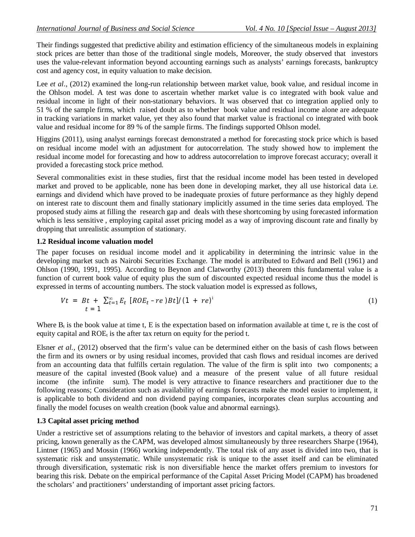Their findings suggested that predictive ability and estimation efficiency of the simultaneous models in explaining stock prices are better than those of the traditional single models, Moreover, the study observed that investors uses the value-relevant information beyond accounting earnings such as analysts' earnings forecasts, bankruptcy cost and agency cost, in equity valuation to make decision.

Lee *et al.*, (2012) examined the long-run relationship between market value, book value, and residual income in the Ohlson model. A test was done to ascertain whether market value is co integrated with book value and residual income in light of their non-stationary behaviors. It was observed that co integration applied only to 51 % of the sample firms, which raised doubt as to whether book value and residual income alone are adequate in tracking variations in market value, yet they also found that market value is fractional co integrated with book value and residual income for 89 % of the sample firms. The findings supported Ohlson model.

Higgins (2011), using analyst earnings forecast demonstrated a method for forecasting stock price which is based on residual income model with an adjustment for autocorrelation. The study showed how to implement the residual income model for forecasting and how to address autocorrelation to improve forecast accuracy; overall it provided a forecasting stock price method.

Several commonalities exist in these studies, first that the residual income model has been tested in developed market and proved to be applicable, none has been done in developing market, they all use historical data i.e. earnings and dividend which have proved to be inadequate proxies of future performance as they highly depend on interest rate to discount them and finally stationary implicitly assumed in the time series data employed. The proposed study aims at filling the research gap and deals with these shortcoming by using forecasted information which is less sensitive, employing capital asset pricing model as a way of improving discount rate and finally by dropping that unrealistic assumption of stationary.

#### **1.2 Residual income valuation model**

The paper focuses on residual income model and it applicability in determining the intrinsic value in the developing market such as Nairobi Securities Exchange. The model is attributed to Edward and Bell (1961) and Ohlson (1990, 1991, 1995). According to Beynon and Clatworthy (2013) theorem this fundamental value is a function of current book value of equity plus the sum of discounted expected residual income thus the model is expressed in terms of accounting numbers. The stock valuation model is expressed as follows,

$$
Vt = Bt + \sum_{t=1}^{\infty} E_t [ROE_t - re)Bt]/(1 + re)^{i}
$$
 (1)

Where  $B_t$  is the book value at time t, E is the expectation based on information available at time t, re is the cost of equity capital and  $ROE_t$  is the after tax return on equity for the period t.

Elsner *et al.,* (2012) observed that the firm's value can be determined either on the basis of cash flows between the firm and its owners or by using residual incomes, provided that cash flows and residual incomes are derived from an accounting data that fulfills certain regulation. The value of the firm is split into two components; a measure of the capital invested (Book value) and a measure of the present value of all future residual income (the infinite sum). The model is very attractive to finance researchers and practitioner due to the following reasons; Consideration such as availability of earnings forecasts make the model easier to implement, it is applicable to both dividend and non dividend paying companies, incorporates clean surplus accounting and finally the model focuses on wealth creation (book value and abnormal earnings).

#### **1.3 Capital asset pricing method**

Under a restrictive set of assumptions relating to the behavior of investors and capital markets, a theory of asset pricing, known generally as the CAPM, was developed almost simultaneously by three researchers Sharpe (1964), Lintner (1965) and Mossin (1966) working independently. The total risk of any asset is divided into two, that is systematic risk and unsystematic. While unsystematic risk is unique to the asset itself and can be eliminated through diversification, systematic risk is non diversifiable hence the market offers premium to investors for bearing this risk. Debate on the empirical performance of the Capital Asset Pricing Model (CAPM) has broadened the scholars' and practitioners' understanding of important asset pricing factors.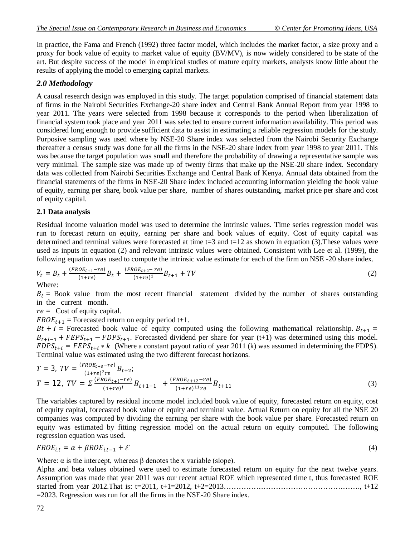In practice, the Fama and French (1992) three factor model, which includes the market factor, a size proxy and a proxy for book value of equity to market value of equity (BV/MV), is now widely considered to be state of the art. But despite success of the model in empirical studies of mature equity markets, analysts know little about the results of applying the model to emerging capital markets.

## *2.0 Methodology*

A causal research design was employed in this study. The target population comprised of financial statement data of firms in the Nairobi Securities Exchange-20 share index and Central Bank Annual Report from year 1998 to year 2011. The years were selected from 1998 because it corresponds to the period when liberalization of financial system took place and year 2011 was selected to ensure current information availability. This period was considered long enough to provide sufficient data to assist in estimating a reliable regression models for the study. Purposive sampling was used where by NSE-20 Share index was selected from the Nairobi Security Exchange thereafter a census study was done for all the firms in the NSE-20 share index from year 1998 to year 2011. This was because the target population was small and therefore the probability of drawing a representative sample was very minimal. The sample size was made up of twenty firms that make up the NSE-20 share index. Secondary data was collected from Nairobi Securities Exchange and Central Bank of Kenya. Annual data obtained from the financial statements of the firms in NSE-20 Share index included accounting information yielding the book value of equity, earning per share, book value per share, number of shares outstanding, market price per share and cost of equity capital.

#### **2.1 Data analysis**

Residual income valuation model was used to determine the intrinsic values. Time series regression model was run to forecast return on equity, earning per share and book values of equity. Cost of equity capital was determined and terminal values were forecasted at time  $t=3$  and  $t=12$  as shown in equation (3). These values were used as inputs in equation (2) and relevant intrinsic values were obtained. Consistent with Lee et al. (1999), the following equation was used to compute the intrinsic value estimate for each of the firm on NSE -20 share index.

$$
V_t = B_t + \frac{(FROE_{t+1} - re)}{(1+re)}B_t + \frac{(FROE_{t+2} - re)}{(1+re)^2}B_{t+1} + TV
$$
\n(2)

Where:

 $B_t$  = Book value from the most recent financial statement divided by the number of shares outstanding in the current month.

 $re =$  Cost of equity capital.

 $FROE_{t+1}$  = Forecasted return on equity period t+1.

 $Bt + I$  = Forecasted book value of equity computed using the following mathematical relationship.  $B_{t+1}$  =  $B_{t+i-1}$  +  $FEPS_{t+1}$  –  $FDPS_{t+1}$ . Forecasted dividend per share for year (t+1) was determined using this model.  $FDPS_{t+i} = FEPS_{t+i} * k$  (Where a constant payout ratio of year 2011 (k) was assumed in determining the FDPS). Terminal value was estimated using the two different forecast horizons.

$$
T = 3, \ TV = \frac{(FROE_{t+3} - re)}{(1+re)^{2}re}B_{t+2};
$$
  
\n
$$
T = 12, \ TV = \sum \frac{(FROE_{t+i} - re)}{(1+re)^{i}}B_{t+1-1} + \frac{(FROE_{t+12} - re)}{(1+re)^{11}re}B_{t+11}
$$
\n(3)

The variables captured by residual income model included book value of equity, forecasted return on equity, cost of equity capital, forecasted book value of equity and terminal value. Actual Return on equity for all the NSE 20 companies was computed by dividing the earning per share with the book value per share. Forecasted return on equity was estimated by fitting regression model on the actual return on equity computed. The following regression equation was used.

$$
FROE_{i,t} = \alpha + \beta ROE_{i,t-1} + \mathcal{E}
$$
\n<sup>(4)</sup>

Where:  $\alpha$  is the intercept, whereas  $\beta$  denotes the x variable (slope).

Alpha and beta values obtained were used to estimate forecasted return on equity for the next twelve years. Assumption was made that year 2011 was our recent actual ROE which represented time t, thus forecasted ROE started from year 2012.That is: t=2011, t+1=2012, t+2=2013………………………………………………., t+12 =2023. Regression was run for all the firms in the NSE-20 Share index.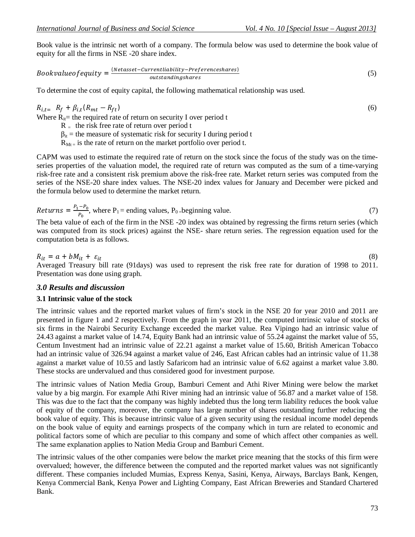Book value is the intrinsic net worth of a company. The formula below was used to determine the book value of equity for all the firms in NSE -20 share index.

*Bookvalue of equity* = 
$$
\frac{(Netasset-Currentliability-Preferenceshares)}{outstanding shares}
$$
 (5)

To determine the cost of equity capital, the following mathematical relationship was used.

$$
R_{i,t} = R_f + \beta_{i,t} (R_{mt} - R_{ft}) \tag{6}
$$

Where  $R_{it}$ = the required rate of return on security I over period t

 $R =$  the risk free rate of return over period t

 $\beta_{it}$  = the measure of systematic risk for security I during period t

 $R_{Mt}$  is the rate of return on the market portfolio over period t.

CAPM was used to estimate the required rate of return on the stock since the focus of the study was on the timeseries properties of the valuation model, the required rate of return was computed as the sum of a time-varying risk-free rate and a consistent risk premium above the risk-free rate. Market return series was computed from the series of the NSE-20 share index values. The NSE-20 index values for January and December were picked and the formula below used to determine the market return.

*Returns* = 
$$
\frac{P_1 - P_0}{P_0}
$$
, where P<sub>1</sub> = ending values, P<sub>0</sub> = beginning value. (7)

The beta value of each of the firm in the NSE -20 index was obtained by regressing the firms return series (which was computed from its stock prices) against the NSE- share return series. The regression equation used for the computation beta is as follows.

$$
R_{it} = a + bM_{it} + \varepsilon_{it}
$$
\n(8)  
Averaged Treasury bill rate (91days) was used to represent the risk free rate for duration of 1998 to 2011.  
Presentation was done using graph.

#### *3.0 Results and discussion*

#### **3.1 Intrinsic value of the stock**

The intrinsic values and the reported market values of firm's stock in the NSE 20 for year 2010 and 2011 are presented in figure 1 and 2 respectively. From the graph in year 2011, the computed intrinsic value of stocks of six firms in the Nairobi Security Exchange exceeded the market value. Rea Vipingo had an intrinsic value of 24.43 against a market value of 14.74, Equity Bank had an intrinsic value of 55.24 against the market value of 55, Centum Investment had an intrinsic value of 22.21 against a market value of 15.60, British American Tobacco had an intrinsic value of 326.94 against a market value of 246, East African cables had an intrinsic value of 11.38 against a market value of 10.55 and lastly Safaricom had an intrinsic value of 6.62 against a market value 3.80. These stocks are undervalued and thus considered good for investment purpose.

The intrinsic values of Nation Media Group, Bamburi Cement and Athi River Mining were below the market value by a big margin. For example Athi River mining had an intrinsic value of 56.87 and a market value of 158. This was due to the fact that the company was highly indebted thus the long term liability reduces the book value of equity of the company, moreover, the company has large number of shares outstanding further reducing the book value of equity. This is because intrinsic value of a given security using the residual income model depends on the book value of equity and earnings prospects of the company which in turn are related to economic and political factors some of which are peculiar to this company and some of which affect other companies as well. The same explanation applies to Nation Media Group and Bamburi Cement.

The intrinsic values of the other companies were below the market price meaning that the stocks of this firm were overvalued; however, the difference between the computed and the reported market values was not significantly different. These companies included Mumias, Express Kenya, Sasini, Kenya, Airways, Barclays Bank, Kengen, Kenya Commercial Bank, Kenya Power and Lighting Company, East African Breweries and Standard Chartered Bank.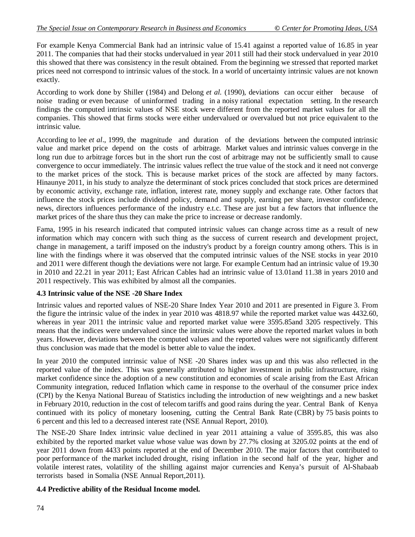For example Kenya Commercial Bank had an intrinsic value of 15.41 against a reported value of 16.85 in year 2011. The companies that had their stocks undervalued in year 2011 still had their stock undervalued in year 2010 this showed that there was consistency in the result obtained. From the beginning we stressed that reported market prices need not correspond to intrinsic values of the stock. In a world of uncertainty intrinsic values are not known exactly.

According to work done by Shiller (1984) and Delong *et al.* (1990), deviations can occur either because of noise trading or even because of uninformed trading in a noisy rational expectation setting. In the research findings the computed intrinsic values of NSE stock were different from the reported market values for all the companies. This showed that firms stocks were either undervalued or overvalued but not price equivalent to the intrinsic value.

According to lee *et al*., 1999, the magnitude and duration of the deviations between the computed intrinsic value and market price depend on the costs of arbitrage. Market values and intrinsic values converge in the long run due to arbitrage forces but in the short run the cost of arbitrage may not be sufficiently small to cause convergence to occur immediately. The intrinsic values reflect the true value of the stock and it need not converge to the market prices of the stock. This is because market prices of the stock are affected by many factors. Hinaunye 2011, in his study to analyze the determinant of stock prices concluded that stock prices are determined by economic activity, exchange rate, inflation, interest rate, money supply and exchange rate. Other factors that influence the stock prices include dividend policy, demand and supply, earning per share, investor confidence, news, directors influences performance of the industry e.t.c. These are just but a few factors that influence the market prices of the share thus they can make the price to increase or decrease randomly.

Fama, 1995 in his research indicated that computed intrinsic values can change across time as a result of new information which may concern with such thing as the success of current research and development project, change in management, a tariff imposed on the industry's product by a foreign country among others. This is in line with the findings where it was observed that the computed intrinsic values of the NSE stocks in year 2010 and 2011 were different though the deviations were not large. For example Centum had an intrinsic value of 19.30 in 2010 and 22.21 in year 2011; East African Cables had an intrinsic value of 13.01and 11.38 in years 2010 and 2011 respectively. This was exhibited by almost all the companies.

#### **4.3 Intrinsic value of the NSE -20 Share Index**

Intrinsic values and reported values of NSE-20 Share Index Year 2010 and 2011 are presented in Figure 3. From the figure the intrinsic value of the index in year 2010 was 4818.97 while the reported market value was 4432.60, whereas in year 2011 the intrinsic value and reported market value were 3595.85and 3205 respectively. This means that the indices were undervalued since the intrinsic values were above the reported market values in both years. However, deviations between the computed values and the reported values were not significantly different thus conclusion was made that the model is better able to value the index.

In year 2010 the computed intrinsic value of NSE -20 Shares index was up and this was also reflected in the reported value of the index. This was generally attributed to higher investment in public infrastructure, rising market confidence since the adoption of a new constitution and economies of scale arising from the East African Community integration, reduced Inflation which came in response to the overhaul of the consumer price index (CPI) by the Kenya National Bureau of Statistics including the introduction of new weightings and a new basket in February 2010, reduction in the cost of telecom tariffs and good rains during the year. Central Bank of Kenya continued with its policy of monetary loosening, cutting the Central Bank Rate (CBR) by 75 basis points to 6 percent and this led to a decreased interest rate (NSE Annual Report, 2010).

The NSE-20 Share Index intrinsic value declined in year 2011 attaining a value of 3595.85, this was also exhibited by the reported market value whose value was down by 27.7% closing at 3205.02 points at the end of year 2011 down from 4433 points reported at the end of December 2010. The major factors that contributed to poor performance of the market included drought, rising inflation in the second half of the year, higher and volatile interest rates, volatility of the shilling against major currencies and Kenya's pursuit of Al-Shabaab terrorists based in Somalia (NSE Annual Report,2011).

#### **4.4 Predictive ability of the Residual Income model.**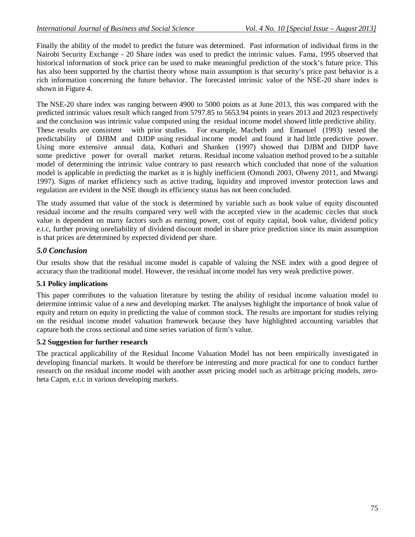Finally the ability of the model to predict the future was determined. Past information of individual firms in the Nairobi Security Exchange - 20 Share index was used to predict the intrinsic values. Fama, 1995 observed that historical information of stock price can be used to make meaningful prediction of the stock's future price. This has also been supported by the chartist theory whose main assumption is that security's price past behavior is a rich information concerning the future behavior. The forecasted intrinsic value of the NSE-20 share index is shown in Figure 4.

The NSE-20 share index was ranging between 4900 to 5000 points as at June 2013, this was compared with the predicted intrinsic values result which ranged from 5797.85 to 5653.94 points in years 2013 and 2023 respectively and the conclusion was intrinsic value computed using the residual income model showed little predictive ability. These results are consistent with prior studies. For example, Macbeth and Emanuel (1993) tested the predictability of DJBM and DJDP using residual income model and found it had little predictive power. Using more extensive annual data, Kothari and Shanken (1997) showed that DJBM and DJDP have some predictive power for overall market returns. Residual income valuation method proved to be a suitable model of determining the intrinsic value contrary to past research which concluded that none of the valuation model is applicable in predicting the market as it is highly inefficient (Omondi 2003, Olweny 2011, and Mwangi 1997). Signs of market efficiency such as active trading, liquidity and improved investor protection laws and regulation are evident in the NSE though its efficiency status has not been concluded.

The study assumed that value of the stock is determined by variable such as book value of equity discounted residual income and the results compared very well with the accepted view in the academic circles that stock value is dependent on many factors such as earning power, cost of equity capital, book value, dividend policy e.t.c, further proving unreliability of dividend discount model in share price prediction since its main assumption is that prices are determined by expected dividend per share.

## *5.0 Conclusion*

Our results show that the residual income model is capable of valuing the NSE index with a good degree of accuracy than the traditional model. However, the residual income model has very weak predictive power.

#### **5.1 Policy implications**

This paper contributes to the valuation literature by testing the ability of residual income valuation model to determine intrinsic value of a new and developing market. The analyses highlight the importance of book value of equity and return on equity in predicting the value of common stock. The results are important for studies relying on the residual income model valuation framework because they have highlighted accounting variables that capture both the cross sectional and time series variation of firm's value.

#### **5.2 Suggestion for further research**

The practical applicability of the Residual Income Valuation Model has not been empirically investigated in developing financial markets. It would be therefore be interesting and more practical for one to conduct further research on the residual income model with another asset pricing model such as arbitrage pricing models, zerobeta Capm, e.t.c in various developing markets.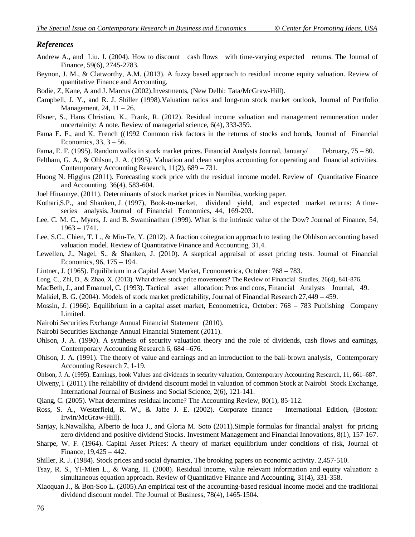#### *References*

- Andrew A., and Liu. J. (2004). How to discount cash flows with time-varying expected returns. The Journal of Finance, 59(6), 2745-2783.
- Beynon, J. M., & Clatworthy, A.M. (2013). A fuzzy based approach to residual income equity valuation. Review of quantitative Finance and Accounting.

Bodie, Z, Kane, A and J. Marcus (2002).Investments, (New Delhi: Tata/McGraw-Hill).

- Campbell, J. Y., and R. J. Shiller (1998).Valuation ratios and long-run stock market outlook, Journal of Portfolio Management, 24, 11 – 26.
- Elsner, S., Hans Christian, K., Frank, R. (2012). Residual income valuation and management remuneration under uncertainity: A note. Review of managerial science, 6(4), 333-359.
- Fama E. F., and K. French ((1992 Common risk factors in the returns of stocks and bonds, Journal of Financial Economics, 33, 3 – 56.
- Fama, E. F. (1995). Random walks in stock market prices. Financial Analysts Journal, January/ February, 75 80.
- Feltham, G. A., & Ohlson, J. A. (1995). Valuation and clean surplus accounting for operating and financial activities. Contemporary Accounting Research, 11(2), 689 – 731.
- Huong N. Higgins (2011). Forecasting stock price with the residual income model. Review of Quantitative Finance and Accounting, 36(4), 583-604.
- Joel Hinaunye, (2011). Determinants of stock market prices in Namibia, working paper.
- Kothari,S.P., and Shanken, J. (1997), Book-to-market, dividend yield, and expected market returns: A timeseries analysis, Journal of Financial Economics, 44, 169-203.
- Lee, C. M. C., Myers, J. and B. Swaminathan (1999). What is the intrinsic value of the Dow? Journal of Finance, 54, 1963 – 1741.
- Lee, S.C., Chien, T. L., & Min-Te, Y. (2012). A fraction coitegration approach to testing the Ohhlson accounting based valuation model. Review of Quantitative Finance and Accounting, 31,4.
- Lewellen, J., Nagel, S., & Shanken, J. (2010). A skeptical appraisal of asset pricing tests. Journal of Financial Economics, 96, 175 – 194.
- Lintner, J. (1965). Equilibrium in a Capital Asset Market, Econometrica, October: 768 783.
- Long, C., Zhi, D., & Zhao, X. (2013). What drives stock price movements? The Review of Financial Studies, 26(4), 841-876.
- MacBeth, J., and Emanuel, C. (1993). Tactical asset allocation: Pros and cons, Financial Analysts Journal, 49.
- Malkiel, B. G. (2004). Models of stock market predictability, Journal of Financial Research 27,449 459.
- Mossin, J. (1966). Equilibrium in a capital asset market, Econometrica, October: 768 783 Publishing Company Limited.
- Nairobi Securities Exchange Annual Financial Statement (2010).
- Nairobi Securities Exchange Annual Financial Statement (2011).
- Ohlson, J. A. (1990). A synthesis of security valuation theory and the role of dividends, cash flows and earnings, Contemporary Accounting Research 6, 684 –676.
- Ohlson, J. A. (1991). The theory of value and earnings and an introduction to the ball-brown analysis, Contemporary Accounting Research 7, 1-19.
- Ohlson, J. A. (1995). Earnings, book Values and dividends in security valuation, Contemporary Accounting Research, 11, 661–687.
- Olweny,T (2011).The reliability of dividend discount model in valuation of common Stock at Nairobi Stock Exchange, International Journal of Business and Social Science, 2(6), 121-141.
- Qiang, C. (2005). What determines residual income? The Accounting Review, 80(1), 85-112.
- Ross, S. A., Westerfield, R. W., & Jaffe J. E. (2002). Corporate finance International Edition, (Boston: Irwin/McGraw-Hill).
- Sanjay, k.Nawalkha, Alberto de luca J., and Gloria M. Soto (2011).Simple formulas for financial analyst for pricing zero dividend and positive dividend Stocks. Investment Management and Financial Innovations, 8(1), 157-167.
- Sharpe, W. F. (1964). Capital Asset Prices: A theory of market equilibrium under conditions of risk, Journal of Finance, 19,425 – 442.
- Shiller, R. J. (1984). Stock prices and social dynamics, The brooking papers on economic activity. 2,457-510.
- Tsay, R. S., YI-Mien L., & Wang, H. (2008). Residual income, value relevant information and equity valuation: a simultaneous equation approach. Review of Quantitative Finance and Accounting, 31(4), 331-358.
- Xiaoquan J., & Bon‐Soo L. (2005).An empirical test of the accounting‐based residual income model and the traditional dividend discount model. The Journal of Business, 78(4), 1465-1504.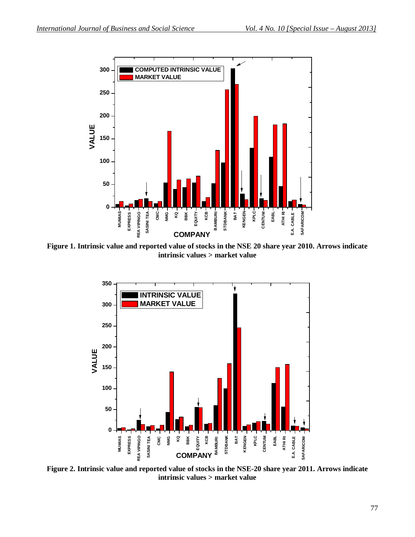

**Figure 1. Intrinsic value and reported value of stocks in the NSE 20 share year 2010. Arrows indicate intrinsic values > market value**



**Figure 2. Intrinsic value and reported value of stocks in the NSE-20 share year 2011. Arrows indicate intrinsic values > market value**